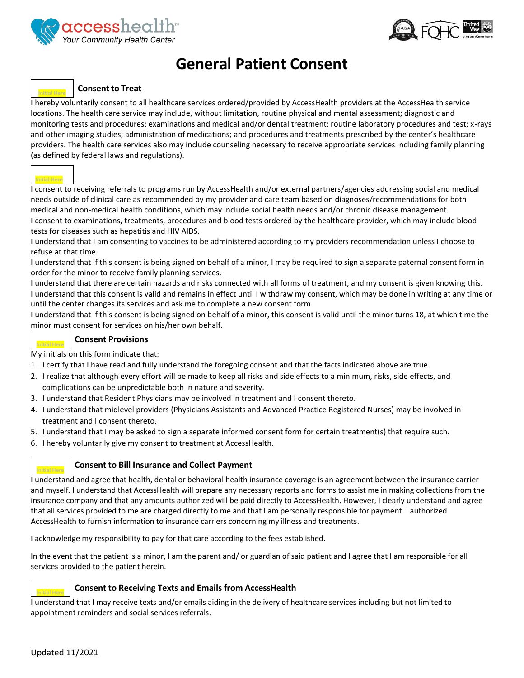



## **General Patient Consent**

## **Consent to Treat**

I hereby voluntarily consent to all healthcare services ordered/provided by AccessHealth providers at the AccessHealth service locations. The health care service may include, without limitation, routine physical and mental assessment; diagnostic and monitoring tests and procedures; examinations and medical and/or dental treatment; routine laboratory procedures and test; x-rays and other imaging studies; administration of medications; and procedures and treatments prescribed by the center's healthcare providers. The health care services also may include counseling necessary to receive appropriate services including family planning (as defined by federal laws and regulations).



I consent to receiving referrals to programs run by AccessHealth and/or external partners/agencies addressing social and medical needs outside of clinical care as recommended by my provider and care team based on diagnoses/recommendations for both medical and non-medical health conditions, which may include social health needs and/or chronic disease management. I consent to examinations, treatments, procedures and blood tests ordered by the healthcare provider, which may include blood tests for diseases such as hepatitis and HIV AIDS.

I understand that I am consenting to vaccines to be administered according to my providers recommendation unless I choose to refuse at that time.

I understand that if this consent is being signed on behalf of a minor, I may be required to sign a separate paternal consent form in order for the minor to receive family planning services.

I understand that there are certain hazards and risks connected with all forms of treatment, and my consent is given knowing this. I understand that this consent is valid and remains in effect until I withdraw my consent, which may be done in writing at any time or until the center changes its services and ask me to complete a new consent form.

I understand that if this consent is being signed on behalf of a minor, this consent is valid until the minor turns 18, at which time the minor must consent for services on his/her own behalf.

### **Consent Provisions**

My initials on this form indicate that:

- 1. I certify that I have read and fully understand the foregoing consent and that the facts indicated above are true.
- 2. I realize that although every effort will be made to keep all risks and side effects to a minimum, risks, side effects, and complications can be unpredictable both in nature and severity.
- 3. I understand that Resident Physicians may be involved in treatment and I consent thereto.
- 4. I understand that midlevel providers (Physicians Assistants and Advanced Practice Registered Nurses) may be involved in treatment and I consent thereto.
- 5. I understand that I may be asked to sign a separate informed consent form for certain treatment(s) that require such.
- 6. I hereby voluntarily give my consent to treatment at AccessHealth.

### **Consent to Bill Insurance and Collect Payment**

I understand and agree that health, dental or behavioral health insurance coverage is an agreement between the insurance carrier and myself. I understand that AccessHealth will prepare any necessary reports and forms to assist me in making collections from the insurance company and that any amounts authorized will be paid directly to AccessHealth. However, I clearly understand and agree that all services provided to me are charged directly to me and that I am personally responsible for payment. I authorized AccessHealth to furnish information to insurance carriers concerning my illness and treatments.

I acknowledge my responsibility to pay for that care according to the fees established.

In the event that the patient is a minor, I am the parent and/ or guardian of said patient and I agree that I am responsible for all services provided to the patient herein.

### **Consent to Receiving Texts and Emails from AccessHealth**

I understand that I may receive texts and/or emails aiding in the delivery of healthcare services including but not limited to appointment reminders and social services referrals.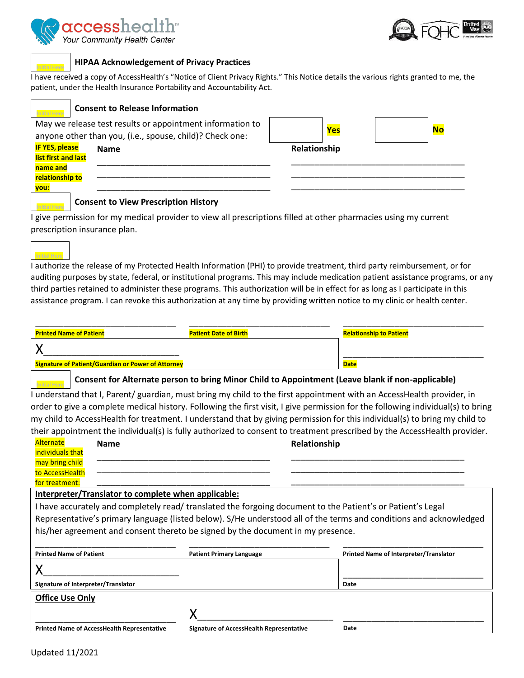



### **HIPAA Acknowledgement of Privacy Practices**

I have received a copy of AccessHealth's "Notice of Client Privacy Rights." This Notice details the various rights granted to me, the patient, under the Health Insurance Portability and Accountability Act.

| <b>Consent to Release Information</b>                                                                                                                         |              |            |           |
|---------------------------------------------------------------------------------------------------------------------------------------------------------------|--------------|------------|-----------|
| May we release test results or appointment information to                                                                                                     |              |            |           |
| anyone other than you, (i.e., spouse, child)? Check one:                                                                                                      |              | <b>Yes</b> | <b>No</b> |
| <b>IF YES, please</b><br><b>Name</b>                                                                                                                          | Relationship |            |           |
| list first and last                                                                                                                                           |              |            |           |
| name and                                                                                                                                                      |              |            |           |
| relationship to                                                                                                                                               |              |            |           |
| you:                                                                                                                                                          |              |            |           |
| <b>Consent to View Prescription History</b><br>Laive nermission for my medical provider to view all prescriptions filled at other pharmacies using my current |              |            |           |

I give permission for my medical provider to view all prescriptions filled at other pharmacies using my current prescription insurance plan.



I authorize the release of my Protected Health Information (PHI) to provide treatment, third party reimbursement, or for auditing purposes by state, federal, or institutional programs. This may include medication patient assistance programs, or any third parties retained to administer these programs. This authorization will be in effect for as long as I participate in this assistance program. I can revoke this authorization at any time by providing written notice to my clinic or health center.

| <b>Printed Name of Patient</b>                                                                   | <b>Patient Date of Birth</b> | <b>Relationship to Patient</b> |
|--------------------------------------------------------------------------------------------------|------------------------------|--------------------------------|
|                                                                                                  |                              |                                |
| <b>Signature of Patient/Guardian or Power of Attorney</b>                                        |                              | <b>Date</b>                    |
| Consent for Alternate person to bring Minor Child to Appointment (Leave blank if non-applicable) |                              |                                |

I understand that I, Parent/ guardian, must bring my child to the first appointment with an AccessHealth provider, in order to give a complete medical history. Following the first visit, I give permission for the following individual(s) to bring my child to AccessHealth for treatment. I understand that by giving permission for this individual(s) to bring my child to their appointment the individual(s) is fully authorized to consent to treatment prescribed by the AccessHealth provider.

| Alternate                           | <b>Name</b>                                         |                                                                                 | Relationship                                                                                                       |
|-------------------------------------|-----------------------------------------------------|---------------------------------------------------------------------------------|--------------------------------------------------------------------------------------------------------------------|
| individuals that                    |                                                     |                                                                                 |                                                                                                                    |
| may bring child                     |                                                     |                                                                                 |                                                                                                                    |
| to AccessHealth                     |                                                     |                                                                                 |                                                                                                                    |
| for treatment:                      |                                                     |                                                                                 |                                                                                                                    |
|                                     | Interpreter/Translator to complete when applicable: |                                                                                 |                                                                                                                    |
|                                     |                                                     |                                                                                 | I have accurately and completely read/ translated the forgoing document to the Patient's or Patient's Legal        |
|                                     |                                                     |                                                                                 | Representative's primary language (listed below). S/He understood all of the terms and conditions and acknowledged |
|                                     |                                                     | his/her agreement and consent thereto be signed by the document in my presence. |                                                                                                                    |
|                                     |                                                     |                                                                                 |                                                                                                                    |
| <b>Printed Name of Patient</b>      |                                                     | <b>Patient Primary Language</b>                                                 | Printed Name of Interpreter/Translator                                                                             |
|                                     |                                                     |                                                                                 |                                                                                                                    |
| Signature of Interpreter/Translator |                                                     |                                                                                 | Date                                                                                                               |
| <b>Office Use Only</b>              |                                                     |                                                                                 |                                                                                                                    |
|                                     |                                                     |                                                                                 |                                                                                                                    |
|                                     | Printed Name of AccessHealth Representative         | <b>Signature of AccessHealth Representative</b>                                 | Date                                                                                                               |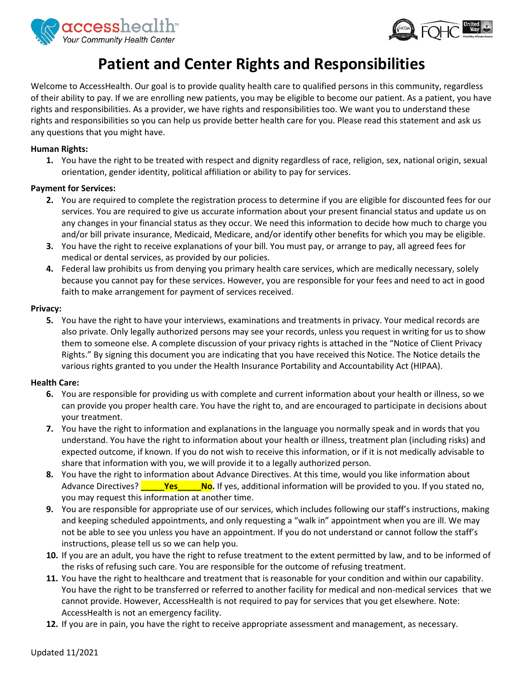



# **Patient and Center Rights and Responsibilities**

Welcome to AccessHealth. Our goal is to provide quality health care to qualified persons in this community, regardless of their ability to pay. If we are enrolling new patients, you may be eligible to become our patient. As a patient, you have rights and responsibilities. As a provider, we have rights and responsibilities too. We want you to understand these rights and responsibilities so you can help us provide better health care for you. Please read this statement and ask us any questions that you might have.

### **Human Rights:**

**1.** You have the right to be treated with respect and dignity regardless of race, religion, sex, national origin, sexual orientation, gender identity, political affiliation or ability to pay for services.

### **Payment for Services:**

- **2.** You are required to complete the registration process to determine if you are eligible for discounted fees for our services. You are required to give us accurate information about your present financial status and update us on any changes in your financial status as they occur. We need this information to decide how much to charge you and/or bill private insurance, Medicaid, Medicare, and/or identify other benefits for which you may be eligible.
- **3.** You have the right to receive explanations of your bill. You must pay, or arrange to pay, all agreed fees for medical or dental services, as provided by our policies.
- **4.** Federal law prohibits us from denying you primary health care services, which are medically necessary, solely because you cannot pay for these services. However, you are responsible for your fees and need to act in good faith to make arrangement for payment of services received.

### **Privacy:**

**5.** You have the right to have your interviews, examinations and treatments in privacy. Your medical records are also private. Only legally authorized persons may see your records, unless you request in writing for us to show them to someone else. A complete discussion of your privacy rights is attached in the "Notice of Client Privacy Rights." By signing this document you are indicating that you have received this Notice. The Notice details the various rights granted to you under the Health Insurance Portability and Accountability Act (HIPAA).

### **Health Care:**

- **6.** You are responsible for providing us with complete and current information about your health or illness, so we can provide you proper health care. You have the right to, and are encouraged to participate in decisions about your treatment.
- **7.** You have the right to information and explanations in the language you normally speak and in words that you understand. You have the right to information about your health or illness, treatment plan (including risks) and expected outcome, if known. If you do not wish to receive this information, or if it is not medically advisable to share that information with you, we will provide it to a legally authorized person.
- **8.** You have the right to information about Advance Directives. At this time, would you like information about Advance Directives? **\_\_\_\_\_Yes\_\_\_\_\_No.** If yes, additional information will be provided to you. If you stated no, you may request this information at another time.
- **9.** You are responsible for appropriate use of our services, which includes following our staff's instructions, making and keeping scheduled appointments, and only requesting a "walk in" appointment when you are ill. We may not be able to see you unless you have an appointment. If you do not understand or cannot follow the staff's instructions, please tell us so we can help you.
- **10.** If you are an adult, you have the right to refuse treatment to the extent permitted by law, and to be informed of the risks of refusing such care. You are responsible for the outcome of refusing treatment.
- **11.** You have the right to healthcare and treatment that is reasonable for your condition and within our capability. You have the right to be transferred or referred to another facility for medical and non-medical services that we cannot provide. However, AccessHealth is not required to pay for services that you get elsewhere. Note: AccessHealth is not an emergency facility.
- **12.** If you are in pain, you have the right to receive appropriate assessment and management, as necessary.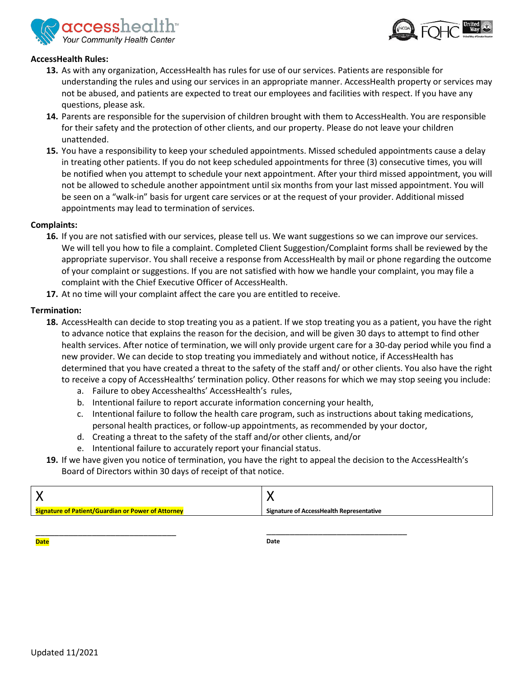



### **AccessHealth Rules:**

- **13.** As with any organization, AccessHealth has rules for use of our services. Patients are responsible for understanding the rules and using our services in an appropriate manner. AccessHealth property or services may not be abused, and patients are expected to treat our employees and facilities with respect. If you have any questions, please ask.
- **14.** Parents are responsible for the supervision of children brought with them to AccessHealth. You are responsible for their safety and the protection of other clients, and our property. Please do not leave your children unattended.
- **15.** You have a responsibility to keep your scheduled appointments. Missed scheduled appointments cause a delay in treating other patients. If you do not keep scheduled appointments for three (3) consecutive times, you will be notified when you attempt to schedule your next appointment. After your third missed appointment, you will not be allowed to schedule another appointment until six months from your last missed appointment. You will be seen on a "walk-in" basis for urgent care services or at the request of your provider. Additional missed appointments may lead to termination of services.

### **Complaints:**

- **16.** If you are not satisfied with our services, please tell us. We want suggestions so we can improve our services. We will tell you how to file a complaint. Completed Client Suggestion/Complaint forms shall be reviewed by the appropriate supervisor. You shall receive a response from AccessHealth by mail or phone regarding the outcome of your complaint or suggestions. If you are not satisfied with how we handle your complaint, you may file a complaint with the Chief Executive Officer of AccessHealth.
- **17.** At no time will your complaint affect the care you are entitled to receive.

### **Termination:**

- **18.** AccessHealth can decide to stop treating you as a patient. If we stop treating you as a patient, you have the right to advance notice that explains the reason for the decision, and will be given 30 days to attempt to find other health services. After notice of termination, we will only provide urgent care for a 30-day period while you find a new provider. We can decide to stop treating you immediately and without notice, if AccessHealth has determined that you have created a threat to the safety of the staff and/ or other clients. You also have the right to receive a copy of AccessHealths' termination policy. Other reasons for which we may stop seeing you include:
	- a. Failure to obey Accesshealths' AccessHealth's rules,
	- b. Intentional failure to report accurate information concerning your health,
	- c. Intentional failure to follow the health care program, such as instructions about taking medications, personal health practices, or follow-up appointments, as recommended by your doctor,
	- d. Creating a threat to the safety of the staff and/or other clients, and/or
	- e. Intentional failure to accurately report your financial status.
- **19.** If we have given you notice of termination, you have the right to appeal the decision to the AccessHealth's Board of Directors within 30 days of receipt of that notice.

| <b>Signature of Patient/Guardian or Power of Attorney</b> | <b>Signature of AccessHealth Representative</b> |
|-----------------------------------------------------------|-------------------------------------------------|

**Date**

**Date**

\_\_\_\_\_\_\_\_\_\_\_\_\_\_\_\_\_\_\_\_\_\_\_\_\_\_\_\_\_\_

\_\_\_\_\_\_\_\_\_\_\_\_\_\_\_\_\_\_\_\_\_\_\_\_\_\_\_\_\_\_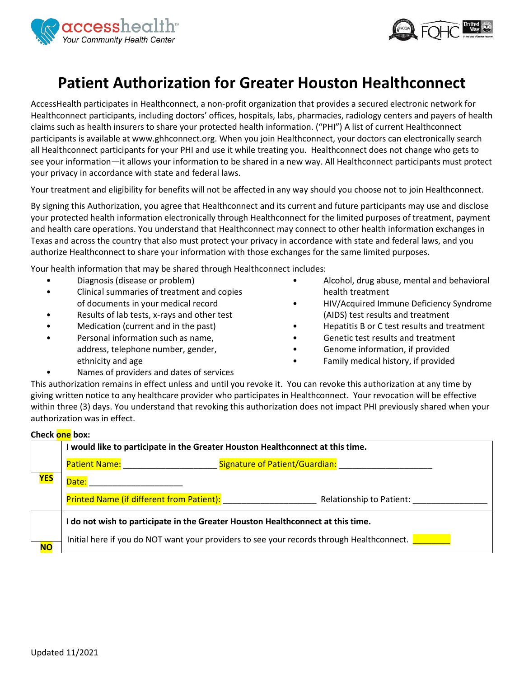



# **Patient Authorization for Greater Houston Healthconnect**

AccessHealth participates in Healthconnect, a non-profit organization that provides a secured electronic network for Healthconnect participants, including doctors' offices, hospitals, labs, pharmacies, radiology centers and payers of health claims such as health insurers to share your protected health information. ("PHI") A list of current Healthconnect participants is available at www.ghhconnect.org. When you join Healthconnect, your doctors can electronically search all Healthconnect participants for your PHI and use it while treating you. Healthconnect does not change who gets to see your information—it allows your information to be shared in a new way. All Healthconnect participants must protect your privacy in accordance with state and federal laws.

Your treatment and eligibility for benefits will not be affected in any way should you choose not to join Healthconnect.

By signing this Authorization, you agree that Healthconnect and its current and future participants may use and disclose your protected health information electronically through Healthconnect for the limited purposes of treatment, payment and health care operations. You understand that Healthconnect may connect to other health information exchanges in Texas and across the country that also must protect your privacy in accordance with state and federal laws, and you authorize Healthconnect to share your information with those exchanges for the same limited purposes.

Your health information that may be shared through Healthconnect includes:

- Diagnosis (disease or problem)
- Clinical summaries of treatment and copies of documents in your medical record
- Results of lab tests, x-rays and other test
- Medication (current and in the past)
- Personal information such as name, address, telephone number, gender, ethnicity and age
- Alcohol, drug abuse, mental and behavioral health treatment
- HIV/Acquired Immune Deficiency Syndrome (AIDS) test results and treatment
- Hepatitis B or C test results and treatment
- Genetic test results and treatment
- Genome information, if provided
- Family medical history, if provided
- Names of providers and dates of services

This authorization remains in effect unless and until you revoke it. You can revoke this authorization at any time by giving written notice to any healthcare provider who participates in Healthconnect. Your revocation will be effective within three (3) days. You understand that revoking this authorization does not impact PHI previously shared when your authorization was in effect.

### **Check one box:**

|            | I would like to participate in the Greater Houston Healthconnect at this time.            |                                |  |
|------------|-------------------------------------------------------------------------------------------|--------------------------------|--|
|            | Patient Name: Name                                                                        | Signature of Patient/Guardian: |  |
| <b>YES</b> | Date:                                                                                     |                                |  |
|            | <b>Printed Name (if different from Patient):</b>                                          | Relationship to Patient:       |  |
|            | I do not wish to participate in the Greater Houston Healthconnect at this time.           |                                |  |
| <b>NO</b>  | Initial here if you do NOT want your providers to see your records through Healthconnect. |                                |  |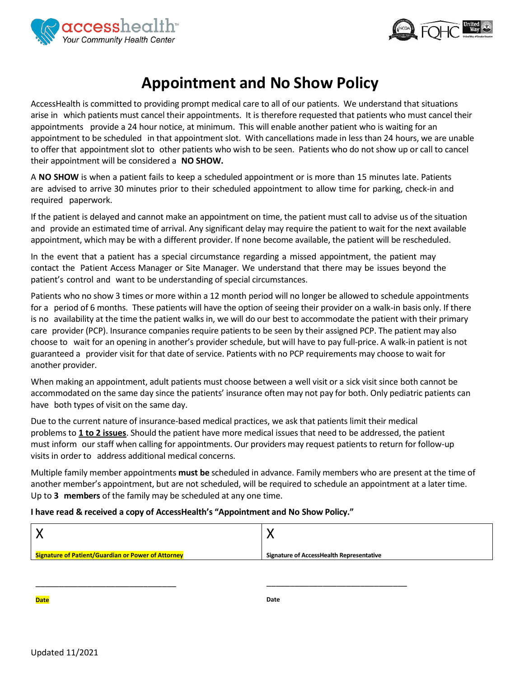



# **Appointment and No Show Policy**

AccessHealth is committed to providing prompt medical care to all of our patients. We understand that situations arise in which patients must cancel their appointments. It is therefore requested that patients who must cancel their appointments provide a 24 hour notice, at minimum. This will enable another patient who is waiting for an appointment to be scheduled in that appointment slot. With cancellations made in less than 24 hours, we are unable to offer that appointment slot to other patients who wish to be seen. Patients who do not show up or call to cancel their appointment will be considered a **NO SHOW.**

A **NO SHOW** is when a patient fails to keep a scheduled appointment or is more than 15 minutes late. Patients are advised to arrive 30 minutes prior to their scheduled appointment to allow time for parking, check-in and required paperwork.

If the patient is delayed and cannot make an appointment on time, the patient must call to advise us of the situation and provide an estimated time of arrival. Any significant delay may require the patient to wait for the next available appointment, which may be with a different provider. If none become available, the patient will be rescheduled.

In the event that a patient has a special circumstance regarding a missed appointment, the patient may contact the Patient Access Manager or Site Manager. We understand that there may be issues beyond the patient's control and want to be understanding of special circumstances.

Patients who no show 3 times or more within a 12 month period will no longer be allowed to schedule appointments for a period of 6 months. These patients will have the option of seeing their provider on a walk-in basis only. If there is no availability at the time the patient walks in, we will do our best to accommodate the patient with their primary care provider (PCP). Insurance companies require patients to be seen by their assigned PCP. The patient may also choose to wait for an opening in another's provider schedule, but will have to pay full-price. A walk-in patient is not guaranteed a provider visit for that date of service. Patients with no PCP requirements may choose to wait for another provider.

When making an appointment, adult patients must choose between a well visit or a sick visit since both cannot be accommodated on the same day since the patients' insurance often may not pay for both. Only pediatric patients can have both types of visit on the same day.

Due to the current nature of insurance-based medical practices, we ask that patients limit their medical problems to **1 to 2 issues**. Should the patient have more medical issues that need to be addressed, the patient must inform our staff when calling for appointments. Our providers may request patients to return for follow-up visits in order to address additional medical concerns.

Multiple family member appointments **must be** scheduled in advance. Family members who are present at the time of another member's appointment, but are not scheduled, will be required to schedule an appointment at a later time. Up to **3 members** of the family may be scheduled at any one time.

### **I have read & received a copy of AccessHealth's "Appointment and No Show Policy."**

| <b>Signature of Patient/Guardian or Power of Attorney</b> | Signature of AccessHealth Representative |
|-----------------------------------------------------------|------------------------------------------|

**Date**

**Date**

\_\_\_\_\_\_\_\_\_\_\_\_\_\_\_\_\_\_\_\_\_\_\_\_\_\_\_\_\_\_

\_\_\_\_\_\_\_\_\_\_\_\_\_\_\_\_\_\_\_\_\_\_\_\_\_\_\_\_\_\_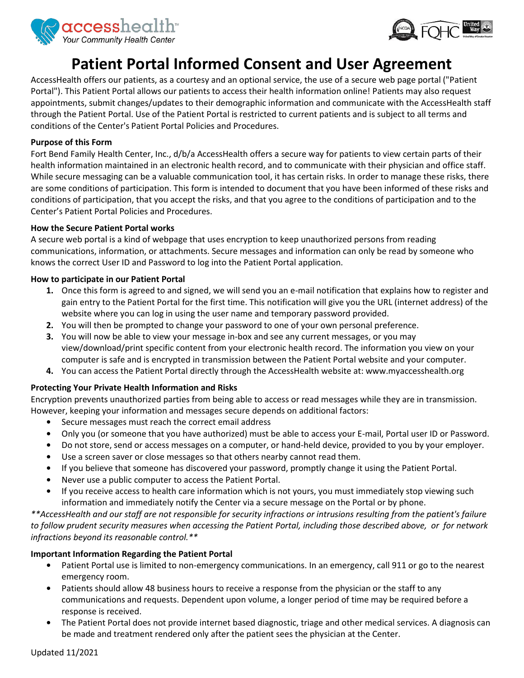



# **Patient Portal Informed Consent and User Agreement**

AccessHealth offers our patients, as a courtesy and an optional service, the use of a secure web page portal ("Patient Portal"). This Patient Portal allows our patients to access their health information online! Patients may also request appointments, submit changes/updates to their demographic information and communicate with the AccessHealth staff through the Patient Portal. Use of the Patient Portal is restricted to current patients and is subject to all terms and conditions of the Center's Patient Portal Policies and Procedures.

### **Purpose of this Form**

Fort Bend Family Health Center, Inc., d/b/a AccessHealth offers a secure way for patients to view certain parts of their health information maintained in an electronic health record, and to communicate with their physician and office staff. While secure messaging can be a valuable communication tool, it has certain risks. In order to manage these risks, there are some conditions of participation. This form is intended to document that you have been informed of these risks and conditions of participation, that you accept the risks, and that you agree to the conditions of participation and to the Center's Patient Portal Policies and Procedures.

### **How the Secure Patient Portal works**

A secure web portal is a kind of webpage that uses encryption to keep unauthorized persons from reading communications, information, or attachments. Secure messages and information can only be read by someone who knows the correct User ID and Password to log into the Patient Portal application.

### **How to participate in our Patient Portal**

- **1.** Once this form is agreed to and signed, we will send you an e-mail notification that explains how to register and gain entry to the Patient Portal for the first time. This notification will give you the URL (internet address) of the website where you can log in using the user name and temporary password provided.
- **2.** You will then be prompted to change your password to one of your own personal preference.
- **3.** You will now be able to view your message in-box and see any current messages, or you may view/download/print specific content from your electronic health record. The information you view on your computer is safe and is encrypted in transmission between the Patient Portal website and your computer.
- **4.** You can access the Patient Portal directly through the AccessHealth website at: www.myaccesshealth.org

## **Protecting Your Private Health Information and Risks**

Encryption prevents unauthorized parties from being able to access or read messages while they are in transmission. However, keeping your information and messages secure depends on additional factors:

- **•** Secure messages must reach the correct email address
- **•** Only you (or someone that you have authorized) must be able to access your E-mail, Portal user ID or Password.
- **•** Do not store, send or access messages on a computer, or hand-held device, provided to you by your employer.
- **•** Use a screen saver or close messages so that others nearby cannot read them.
- **•** If you believe that someone has discovered your password, promptly change it using the Patient Portal.
- **•** Never use a public computer to access the Patient Portal.
- **•** If you receive access to health care information which is not yours, you must immediately stop viewing such information and immediately notify the Center via a secure message on the Portal or by phone.

*\*\*AccessHealth and our staff are not responsible for security infractions or intrusions resulting from the patient's failure to follow prudent security measures when accessing the Patient Portal, including those described above, or for network infractions beyond its reasonable control.\*\**

## **Important Information Regarding the Patient Portal**

- **•** Patient Portal use is limited to non-emergency communications. In an emergency, call 911 or go to the nearest emergency room.
- **•** Patients should allow 48 business hours to receive a response from the physician or the staff to any communications and requests. Dependent upon volume, a longer period of time may be required before a response is received.
- **•** The Patient Portal does not provide internet based diagnostic, triage and other medical services. A diagnosis can be made and treatment rendered only after the patient sees the physician at the Center.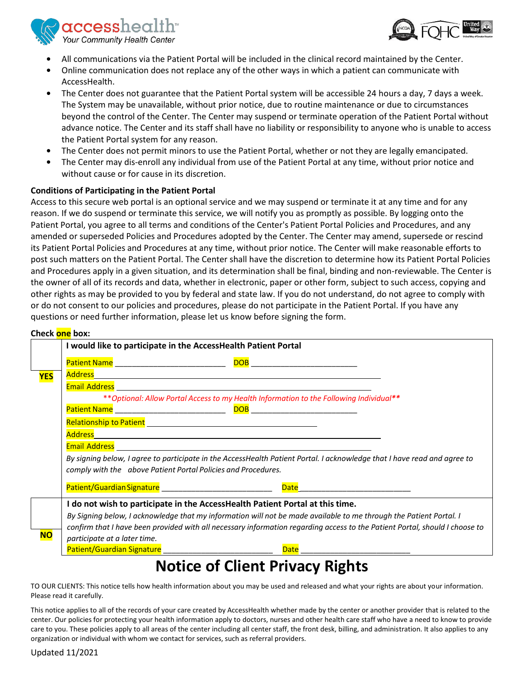$\mathop{\mathrm{accesshealth}}$ Your Community Health Center



- 
- **•** All communications via the Patient Portal will be included in the clinical record maintained by the Center.
- **•** Online communication does not replace any of the other ways in which a patient can communicate with AccessHealth.
- **•** The Center does not guarantee that the Patient Portal system will be accessible 24 hours a day, 7 days a week. The System may be unavailable, without prior notice, due to routine maintenance or due to circumstances beyond the control of the Center. The Center may suspend or terminate operation of the Patient Portal without advance notice. The Center and its staff shall have no liability or responsibility to anyone who is unable to access the Patient Portal system for any reason.
- **•** The Center does not permit minors to use the Patient Portal, whether or not they are legally emancipated.
- **•** The Center may dis-enroll any individual from use of the Patient Portal at any time, without prior notice and without cause or for cause in its discretion.

## **Conditions of Participating in the Patient Portal**

Access to this secure web portal is an optional service and we may suspend or terminate it at any time and for any reason. If we do suspend or terminate this service, we will notify you as promptly as possible. By logging onto the Patient Portal, you agree to all terms and conditions of the Center's Patient Portal Policies and Procedures, and any amended or superseded Policies and Procedures adopted by the Center. The Center may amend, supersede or rescind its Patient Portal Policies and Procedures at any time, without prior notice. The Center will make reasonable efforts to post such matters on the Patient Portal. The Center shall have the discretion to determine how its Patient Portal Policies and Procedures apply in a given situation, and its determination shall be final, binding and non-reviewable. The Center is the owner of all of its records and data, whether in electronic, paper or other form, subject to such access, copying and other rights as may be provided to you by federal and state law. If you do not understand, do not agree to comply with or do not consent to our policies and procedures, please do not participate in the Patient Portal. If you have any questions or need further information, please let us know before signing the form.

## **Check one box:**

|            | <u>CHECK UITE DUX.</u>                                         |                                                                                                                                                                                                                                 |  |  |  |
|------------|----------------------------------------------------------------|---------------------------------------------------------------------------------------------------------------------------------------------------------------------------------------------------------------------------------|--|--|--|
|            | I would like to participate in the AccessHealth Patient Portal |                                                                                                                                                                                                                                 |  |  |  |
|            |                                                                |                                                                                                                                                                                                                                 |  |  |  |
| <b>YES</b> |                                                                | Address Andreas Address Andreas Andreas Andreas Andreas Andreas Andreas Andreas Andreas Andreas Andreas Andre<br>Andreas Andreas Andreas Andreas Andreas Andreas Andreas Andreas Andreas Andreas Andreas Andreas Andreas Andrea |  |  |  |
|            |                                                                |                                                                                                                                                                                                                                 |  |  |  |
|            |                                                                | ** Optional: Allow Portal Access to my Health Information to the Following Individual**                                                                                                                                         |  |  |  |
|            |                                                                |                                                                                                                                                                                                                                 |  |  |  |
|            |                                                                |                                                                                                                                                                                                                                 |  |  |  |
|            |                                                                |                                                                                                                                                                                                                                 |  |  |  |
|            |                                                                |                                                                                                                                                                                                                                 |  |  |  |
|            |                                                                | By signing below, I agree to participate in the AccessHealth Patient Portal. I acknowledge that I have read and agree to                                                                                                        |  |  |  |
|            | comply with the above Patient Portal Policies and Procedures.  |                                                                                                                                                                                                                                 |  |  |  |
|            |                                                                |                                                                                                                                                                                                                                 |  |  |  |
|            |                                                                | I do not wish to participate in the AccessHealth Patient Portal at this time.                                                                                                                                                   |  |  |  |
|            |                                                                | By Signing below, I acknowledge that my information will not be made available to me through the Patient Portal. I                                                                                                              |  |  |  |
|            |                                                                | confirm that I have been provided with all necessary information regarding access to the Patient Portal, should I choose to                                                                                                     |  |  |  |
| <b>NO</b>  | participate at a later time.                                   |                                                                                                                                                                                                                                 |  |  |  |
|            | Patient/Guardian Signature _____________________________       |                                                                                                                                                                                                                                 |  |  |  |
|            |                                                                | $\mathbf{L}$ ian af Clinut Dui $\mathbf{L}$ no ar Diehtr                                                                                                                                                                        |  |  |  |

# **Notice of Client Privacy Rights**

TO OUR CLIENTS: This notice tells how health information about you may be used and released and what your rights are about your information. Please read it carefully.

This notice applies to all of the records of your care created by AccessHealth whether made by the center or another provider that is related to the center. Our policies for protecting your health information apply to doctors, nurses and other health care staff who have a need to know to provide care to you. These policies apply to all areas of the center including all center staff, the front desk, billing, and administration. It also applies to any organization or individual with whom we contact for services, such as referral providers.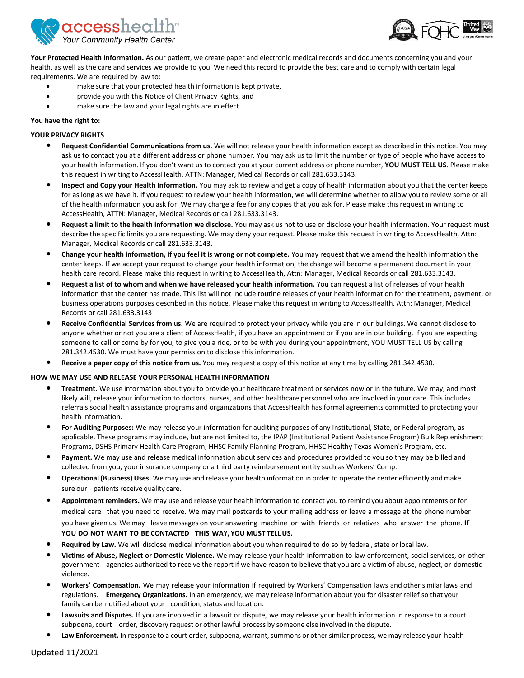

![](_page_8_Picture_1.jpeg)

**Your Protected Health Information.** As our patient, we create paper and electronic medical records and documents concerning you and your health, as well as the care and services we provide to you. We need this record to provide the best care and to comply with certain legal requirements. We are required by law to:

- make sure that your protected health information is kept private,
- provide you with this Notice of Client Privacy Rights, and
- make sure the law and your legal rights are in effect.

### **You have the right to:**

### **YOUR PRIVACY RIGHTS**

- **• Request Confidential Communications from us.** We will not release your health information except as described in this notice. You may ask us to contact you at a different address or phone number. You may ask us to limit the number or type of people who have access to your health information. If you don't want us to contact you at your current address or phone number, **YOU MUST TELL US**. Please make this request in writing to AccessHealth, ATTN: Manager, Medical Records or call 281.633.3143.
- **• Inspect and Copy your Health Information.** You may ask to review and get a copy of health information about you that the center keeps for as long as we have it. If you request to review your health information, we will determine whether to allow you to review some or all of the health information you ask for. We may charge a fee for any copies that you ask for. Please make this request in writing to AccessHealth, ATTN: Manager, Medical Records or call 281.633.3143.
- **• Request a limit to the health information we disclose.** You may ask us not to use or disclose your health information. Your request must describe the specific limits you are requesting. We may deny your request. Please make this request in writing to AccessHealth, Attn: Manager, Medical Records or call 281.633.3143.
- **• Change your health information, if you feel it is wrong or not complete.** You may request that we amend the health information the center keeps. If we accept your request to change your health information, the change will become a permanent document in your health care record. Please make this request in writing to AccessHealth, Attn: Manager, Medical Records or call 281.633.3143.
- **• Request a list of to whom and when we have released your health information.** You can request a list of releases of your health information that the center has made. This list will not include routine releases of your health information for the treatment, payment, or business operations purposes described in this notice. Please make this request in writing to AccessHealth, Attn: Manager, Medical Records or call 281.633.3143
- **• Receive Confidential Services from us.** We are required to protect your privacy while you are in our buildings. We cannot disclose to anyone whether or not you are a client of AccessHealth, if you have an appointment or if you are in our building. If you are expecting someone to call or come by for you, to give you a ride, or to be with you during your appointment, YOU MUST TELL US by calling 281.342.4530. We must have your permission to disclose this information.
- **• Receive a paper copy of this notice from us.** You may request a copy of this notice at any time by calling 281.342.4530.

#### **HOW WE MAY USE AND RELEASE YOUR PERSONAL HEALTH INFORMATION**

- **• Treatment.** We use information about you to provide your healthcare treatment or services now or in the future. We may, and most likely will, release your information to doctors, nurses, and other healthcare personnel who are involved in your care. This includes referrals social health assistance programs and organizations that AccessHealth has formal agreements committed to protecting your health information.
- **• For Auditing Purposes:** We may release your information for auditing purposes of any Institutional, State, or Federal program, as applicable. These programs may include, but are not limited to, the IPAP (Institutional Patient Assistance Program) Bulk Replenishment Programs, DSHS Primary Health Care Program, HHSC Family Planning Program, HHSC Healthy Texas Women's Program, etc.
- **• Payment.** We may use and release medical information about services and procedures provided to you so they may be billed and collected from you, your insurance company or a third party reimbursement entity such as Workers' Comp.
- **• Operational (Business) Uses.** We may use and release your health information in order to operate the center efficiently and make sure our patients receive quality care.
- **• Appointment reminders.** We may use and release your health information to contact you to remind you about appointments or for medical care that you need to receive. We may mail postcards to your mailing address or leave a message at the phone number you have given us. We may leave messages on your answering machine or with friends or relatives who answer the phone. **IF YOU DO NOT WANT TO BE CONTACTED THIS WAY, YOU MUST TELL US.**
- **• Required by Law.** We will disclose medical information about you when required to do so by federal, state or local law.
- **• Victims of Abuse, Neglect or Domestic Violence.** We may release your health information to law enforcement, social services, or other government agencies authorized to receive the report if we have reason to believe that you are a victim of abuse, neglect, or domestic violence.
- **• Workers' Compensation.** We may release your information if required by Workers' Compensation laws and other similar laws and regulations. **Emergency Organizations.** In an emergency, we may release information about you for disaster relief so that your family can be notified about your condition, status and location.
- **• Lawsuits and Disputes.** If you are involved in a lawsuit or dispute, we may release your health information in response to a court subpoena, court order, discovery request or other lawful process by someone else involved in the dispute.
- Law Enforcement. In response to a court order, subpoena, warrant, summons or other similar process, we may release your health